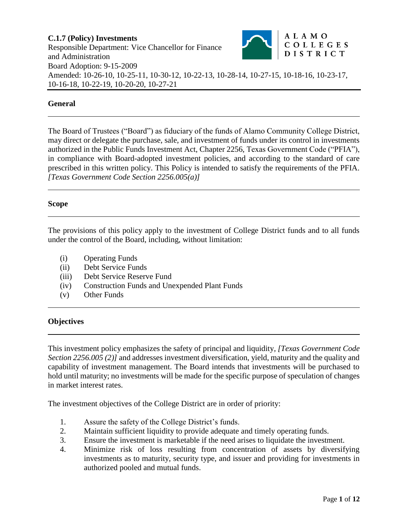

### **General**

The Board of Trustees ("Board") as fiduciary of the funds of Alamo Community College District, may direct or delegate the purchase, sale, and investment of funds under its control in investments authorized in the Public Funds Investment Act, Chapter 2256, Texas Government Code ("PFIA"), in compliance with Board-adopted investment policies, and according to the standard of care prescribed in this written policy. This Policy is intended to satisfy the requirements of the PFIA. *[Texas Government Code Section 2256.005(a)]*

### **Scope**

The provisions of this policy apply to the investment of College District funds and to all funds under the control of the Board, including, without limitation:

- (i) Operating Funds
- (ii) Debt Service Funds
- (iii) Debt Service Reserve Fund
- (iv) Construction Funds and Unexpended Plant Funds
- (v) Other Funds

### **Objectives**

This investment policy emphasizes the safety of principal and liquidity*, [Texas Government Code Section 2256.005 (2)]* and addresses investment diversification, yield, maturity and the quality and capability of investment management. The Board intends that investments will be purchased to hold until maturity; no investments will be made for the specific purpose of speculation of changes in market interest rates.

The investment objectives of the College District are in order of priority:

- 1. Assure the safety of the College District's funds.
- 2. Maintain sufficient liquidity to provide adequate and timely operating funds.
- 3. Ensure the investment is marketable if the need arises to liquidate the investment.
- 4. Minimize risk of loss resulting from concentration of assets by diversifying investments as to maturity, security type, and issuer and providing for investments in authorized pooled and mutual funds.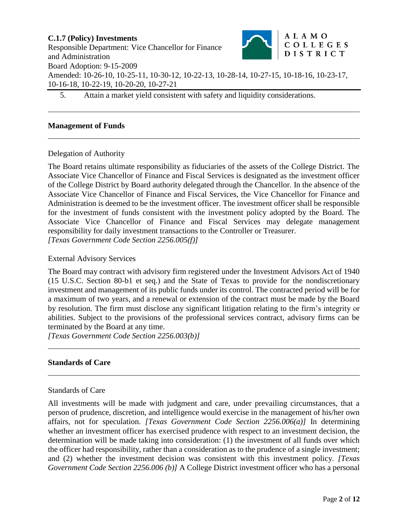5. Attain a market yield consistent with safety and liquidity considerations.

### **Management of Funds**

### Delegation of Authority

The Board retains ultimate responsibility as fiduciaries of the assets of the College District. The Associate Vice Chancellor of Finance and Fiscal Services is designated as the investment officer of the College District by Board authority delegated through the Chancellor. In the absence of the Associate Vice Chancellor of Finance and Fiscal Services, the Vice Chancellor for Finance and Administration is deemed to be the investment officer. The investment officer shall be responsible for the investment of funds consistent with the investment policy adopted by the Board. The Associate Vice Chancellor of Finance and Fiscal Services may delegate management responsibility for daily investment transactions to the Controller or Treasurer. *[Texas Government Code Section 2256.005(f)]*

External Advisory Services

The Board may contract with advisory firm registered under the Investment Advisors Act of 1940 (15 U.S.C. Section 80-b1 et seq.) and the State of Texas to provide for the nondiscretionary investment and management of its public funds under its control. The contracted period will be for a maximum of two years, and a renewal or extension of the contract must be made by the Board by resolution. The firm must disclose any significant litigation relating to the firm's integrity or abilities. Subject to the provisions of the professional services contract, advisory firms can be terminated by the Board at any time.

*[Texas Government Code Section 2256.003(b)]*

### **Standards of Care**

### Standards of Care

All investments will be made with judgment and care, under prevailing circumstances, that a person of prudence, discretion, and intelligence would exercise in the management of his/her own affairs, not for speculation. *[Texas Government Code Section 2256.006(a)]* In determining whether an investment officer has exercised prudence with respect to an investment decision, the determination will be made taking into consideration: (1) the investment of all funds over which the officer had responsibility, rather than a consideration as to the prudence of a single investment; and (2) whether the investment decision was consistent with this investment policy. *[Texas Government Code Section 2256.006 (b)]* A College District investment officer who has a personal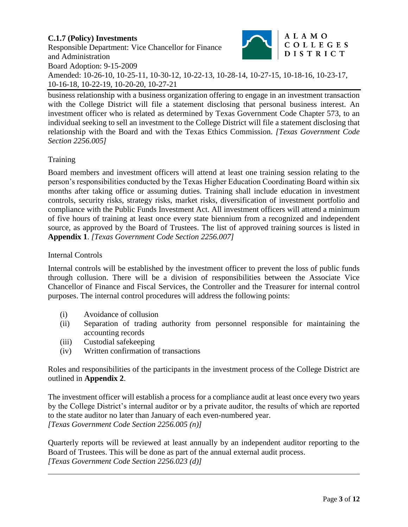business relationship with a business organization offering to engage in an investment transaction with the College District will file a statement disclosing that personal business interest. An investment officer who is related as determined by Texas Government Code Chapter 573, to an individual seeking to sell an investment to the College District will file a statement disclosing that relationship with the Board and with the Texas Ethics Commission. *[Texas Government Code Section 2256.005]*

# Training

Board members and investment officers will attend at least one training session relating to the person's responsibilities conducted by the Texas Higher Education Coordinating Board within six months after taking office or assuming duties. Training shall include education in investment controls, security risks, strategy risks, market risks, diversification of investment portfolio and compliance with the Public Funds Investment Act. All investment officers will attend a minimum of five hours of training at least once every state biennium from a recognized and independent source, as approved by the Board of Trustees. The list of approved training sources is listed in **Appendix 1**. *[Texas Government Code Section 2256.007]*

## Internal Controls

Internal controls will be established by the investment officer to prevent the loss of public funds through collusion. There will be a division of responsibilities between the Associate Vice Chancellor of Finance and Fiscal Services, the Controller and the Treasurer for internal control purposes. The internal control procedures will address the following points:

- (i) Avoidance of collusion
- (ii) Separation of trading authority from personnel responsible for maintaining the accounting records
- (iii) Custodial safekeeping
- (iv) Written confirmation of transactions

Roles and responsibilities of the participants in the investment process of the College District are outlined in **Appendix 2**.

The investment officer will establish a process for a compliance audit at least once every two years by the College District's internal auditor or by a private auditor, the results of which are reported to the state auditor no later than January of each even-numbered year. *[Texas Government Code Section 2256.005 (n)]*

Quarterly reports will be reviewed at least annually by an independent auditor reporting to the Board of Trustees. This will be done as part of the annual external audit process. *[Texas Government Code Section 2256.023 (d)]*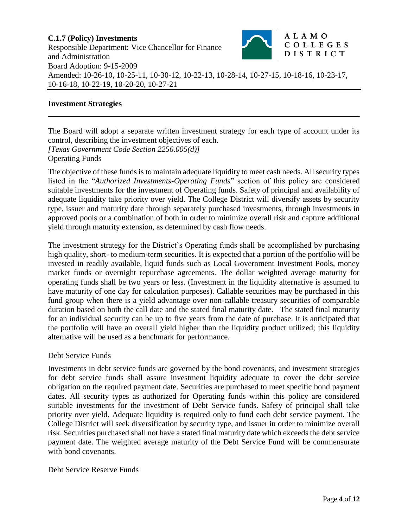## **Investment Strategies**

The Board will adopt a separate written investment strategy for each type of account under its control, describing the investment objectives of each. *[Texas Government Code Section 2256.005(d)]* Operating Funds

The objective of these funds is to maintain adequate liquidity to meet cash needs. All security types listed in the "*Authorized Investments-Operating Funds*" section of this policy are considered suitable investments for the investment of Operating funds. Safety of principal and availability of adequate liquidity take priority over yield. The College District will diversify assets by security type, issuer and maturity date through separately purchased investments, through investments in approved pools or a combination of both in order to minimize overall risk and capture additional yield through maturity extension, as determined by cash flow needs.

The investment strategy for the District's Operating funds shall be accomplished by purchasing high quality, short- to medium-term securities. It is expected that a portion of the portfolio will be invested in readily available, liquid funds such as Local Government Investment Pools, money market funds or overnight repurchase agreements. The dollar weighted average maturity for operating funds shall be two years or less. (Investment in the liquidity alternative is assumed to have maturity of one day for calculation purposes). Callable securities may be purchased in this fund group when there is a yield advantage over non-callable treasury securities of comparable duration based on both the call date and the stated final maturity date. The stated final maturity for an individual security can be up to five years from the date of purchase. It is anticipated that the portfolio will have an overall yield higher than the liquidity product utilized; this liquidity alternative will be used as a benchmark for performance.

### Debt Service Funds

Investments in debt service funds are governed by the bond covenants, and investment strategies for debt service funds shall assure investment liquidity adequate to cover the debt service obligation on the required payment date. Securities are purchased to meet specific bond payment dates. All security types as authorized for Operating funds within this policy are considered suitable investments for the investment of Debt Service funds. Safety of principal shall take priority over yield. Adequate liquidity is required only to fund each debt service payment. The College District will seek diversification by security type, and issuer in order to minimize overall risk. Securities purchased shall not have a stated final maturity date which exceeds the debt service payment date. The weighted average maturity of the Debt Service Fund will be commensurate with bond covenants.

### Debt Service Reserve Funds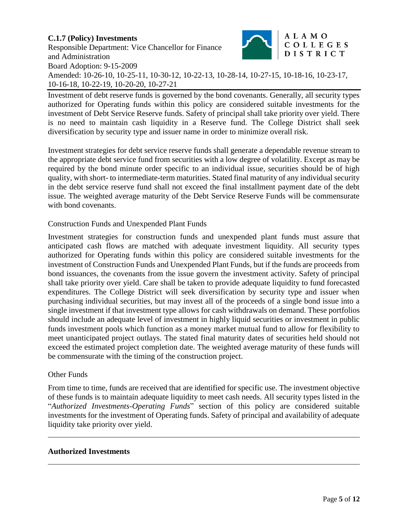Investment of debt reserve funds is governed by the bond covenants. Generally, all security types authorized for Operating funds within this policy are considered suitable investments for the investment of Debt Service Reserve funds. Safety of principal shall take priority over yield. There is no need to maintain cash liquidity in a Reserve fund. The College District shall seek diversification by security type and issuer name in order to minimize overall risk.

Investment strategies for debt service reserve funds shall generate a dependable revenue stream to the appropriate debt service fund from securities with a low degree of volatility. Except as may be required by the bond minute order specific to an individual issue, securities should be of high quality, with short- to intermediate-term maturities. Stated final maturity of any individual security in the debt service reserve fund shall not exceed the final installment payment date of the debt issue. The weighted average maturity of the Debt Service Reserve Funds will be commensurate with bond covenants.

### Construction Funds and Unexpended Plant Funds

Investment strategies for construction funds and unexpended plant funds must assure that anticipated cash flows are matched with adequate investment liquidity. All security types authorized for Operating funds within this policy are considered suitable investments for the investment of Construction Funds and Unexpended Plant Funds, but if the funds are proceeds from bond issuances, the covenants from the issue govern the investment activity. Safety of principal shall take priority over yield. Care shall be taken to provide adequate liquidity to fund forecasted expenditures. The College District will seek diversification by security type and issuer when purchasing individual securities, but may invest all of the proceeds of a single bond issue into a single investment if that investment type allows for cash withdrawals on demand. These portfolios should include an adequate level of investment in highly liquid securities or investment in public funds investment pools which function as a money market mutual fund to allow for flexibility to meet unanticipated project outlays. The stated final maturity dates of securities held should not exceed the estimated project completion date. The weighted average maturity of these funds will be commensurate with the timing of the construction project.

### Other Funds

From time to time, funds are received that are identified for specific use. The investment objective of these funds is to maintain adequate liquidity to meet cash needs. All security types listed in the "*Authorized Investments-Operating Funds*" section of this policy are considered suitable investments for the investment of Operating funds. Safety of principal and availability of adequate liquidity take priority over yield.

### **Authorized Investments**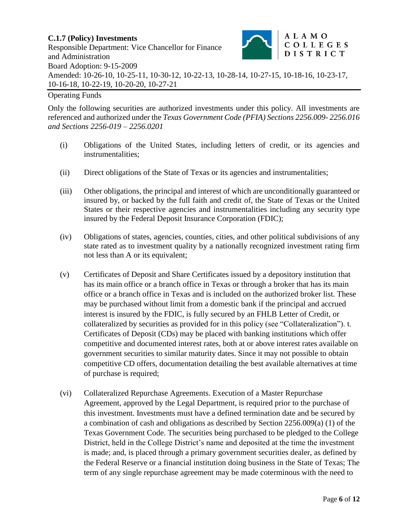# Operating Funds

Only the following securities are authorized investments under this policy. All investments are referenced and authorized under the *Texas Government Code (PFIA) Sections 2256.009- 2256.016 and Sections 2256-019 – 2256.0201*

- (i) Obligations of the United States, including letters of credit, or its agencies and instrumentalities;
- (ii) Direct obligations of the State of Texas or its agencies and instrumentalities;
- (iii) Other obligations, the principal and interest of which are unconditionally guaranteed or insured by, or backed by the full faith and credit of, the State of Texas or the United States or their respective agencies and instrumentalities including any security type insured by the Federal Deposit Insurance Corporation (FDIC);
- (iv) Obligations of states, agencies, counties, cities, and other political subdivisions of any state rated as to investment quality by a nationally recognized investment rating firm not less than A or its equivalent;
- (v) Certificates of Deposit and Share Certificates issued by a depository institution that has its main office or a branch office in Texas or through a broker that has its main office or a branch office in Texas and is included on the authorized broker list. These may be purchased without limit from a domestic bank if the principal and accrued interest is insured by the FDIC, is fully secured by an FHLB Letter of Credit, or collateralized by securities as provided for in this policy (see "Collateralization"). t. Certificates of Deposit (CDs) may be placed with banking institutions which offer competitive and documented interest rates, both at or above interest rates available on government securities to similar maturity dates. Since it may not possible to obtain competitive CD offers, documentation detailing the best available alternatives at time of purchase is required;
- (vi) Collateralized Repurchase Agreements. Execution of a Master Repurchase Agreement, approved by the Legal Department, is required prior to the purchase of this investment. Investments must have a defined termination date and be secured by a combination of cash and obligations as described by Section 2256.009(a) (1) of the Texas Government Code. The securities being purchased to be pledged to the College District, held in the College District's name and deposited at the time the investment is made; and, is placed through a primary government securities dealer, as defined by the Federal Reserve or a financial institution doing business in the State of Texas; The term of any single repurchase agreement may be made coterminous with the need to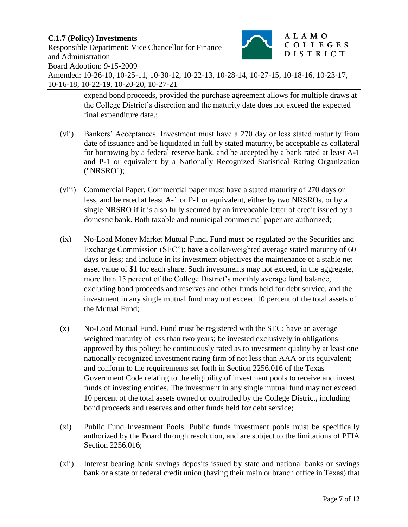# **C.1.7 (Policy) Investments**

Responsible Department: Vice Chancellor for Finance and Administration



Board Adoption: 9-15-2009 Amended: 10-26-10, 10-25-11, 10-30-12, 10-22-13, 10-28-14, 10-27-15, 10-18-16, 10-23-17, 10-16-18, 10-22-19, 10-20-20, 10-27-21

> expend bond proceeds, provided the purchase agreement allows for multiple draws at the College District's discretion and the maturity date does not exceed the expected final expenditure date.;

- (vii) Bankers' Acceptances. Investment must have a 270 day or less stated maturity from date of issuance and be liquidated in full by stated maturity, be acceptable as collateral for borrowing by a federal reserve bank, and be accepted by a bank rated at least A-1 and P-1 or equivalent by a Nationally Recognized Statistical Rating Organization ("NRSRO");
- (viii) Commercial Paper. Commercial paper must have a stated maturity of 270 days or less, and be rated at least A-1 or P-1 or equivalent, either by two NRSROs, or by a single NRSRO if it is also fully secured by an irrevocable letter of credit issued by a domestic bank. Both taxable and municipal commercial paper are authorized;
- (ix) No-Load Money Market Mutual Fund. Fund must be regulated by the Securities and Exchange Commission (SEC"); have a dollar-weighted average stated maturity of 60 days or less; and include in its investment objectives the maintenance of a stable net asset value of \$1 for each share. Such investments may not exceed, in the aggregate, more than 15 percent of the College District's monthly average fund balance, excluding bond proceeds and reserves and other funds held for debt service, and the investment in any single mutual fund may not exceed 10 percent of the total assets of the Mutual Fund;
- (x) No-Load Mutual Fund. Fund must be registered with the SEC; have an average weighted maturity of less than two years; be invested exclusively in obligations approved by this policy; be continuously rated as to investment quality by at least one nationally recognized investment rating firm of not less than AAA or its equivalent; and conform to the requirements set forth in Section 2256.016 of the Texas Government Code relating to the eligibility of investment pools to receive and invest funds of investing entities. The investment in any single mutual fund may not exceed 10 percent of the total assets owned or controlled by the College District, including bond proceeds and reserves and other funds held for debt service;
- (xi) Public Fund Investment Pools. Public funds investment pools must be specifically authorized by the Board through resolution, and are subject to the limitations of PFIA Section 2256.016;
- (xii) Interest bearing bank savings deposits issued by state and national banks or savings bank or a state or federal credit union (having their main or branch office in Texas) that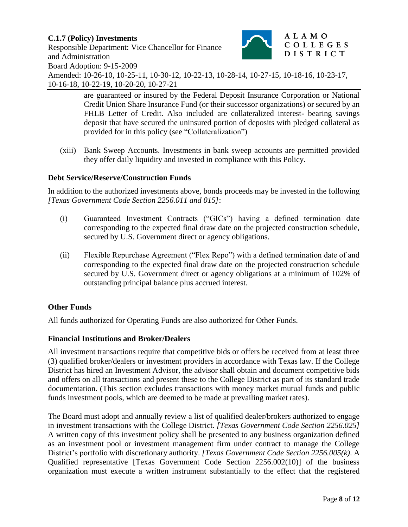# **C.1.7 (Policy) Investments**

Responsible Department: Vice Chancellor for Finance and Administration



Board Adoption: 9-15-2009

Amended: 10-26-10, 10-25-11, 10-30-12, 10-22-13, 10-28-14, 10-27-15, 10-18-16, 10-23-17, 10-16-18, 10-22-19, 10-20-20, 10-27-21

> are guaranteed or insured by the Federal Deposit Insurance Corporation or National Credit Union Share Insurance Fund (or their successor organizations) or secured by an FHLB Letter of Credit. Also included are collateralized interest- bearing savings deposit that have secured the uninsured portion of deposits with pledged collateral as provided for in this policy (see "Collateralization")

(xiii) Bank Sweep Accounts. Investments in bank sweep accounts are permitted provided they offer daily liquidity and invested in compliance with this Policy.

# **Debt Service/Reserve/Construction Funds**

In addition to the authorized investments above, bonds proceeds may be invested in the following *[Texas Government Code Section 2256.011 and 015]*:

- (i) Guaranteed Investment Contracts ("GICs") having a defined termination date corresponding to the expected final draw date on the projected construction schedule, secured by U.S. Government direct or agency obligations.
- (ii) Flexible Repurchase Agreement ("Flex Repo") with a defined termination date of and corresponding to the expected final draw date on the projected construction schedule secured by U.S. Government direct or agency obligations at a minimum of 102% of outstanding principal balance plus accrued interest.

# **Other Funds**

All funds authorized for Operating Funds are also authorized for Other Funds.

# **Financial Institutions and Broker/Dealers**

All investment transactions require that competitive bids or offers be received from at least three (3) qualified broker/dealers or investment providers in accordance with Texas law. If the College District has hired an Investment Advisor, the advisor shall obtain and document competitive bids and offers on all transactions and present these to the College District as part of its standard trade documentation. (This section excludes transactions with money market mutual funds and public funds investment pools, which are deemed to be made at prevailing market rates).

The Board must adopt and annually review a list of qualified dealer/brokers authorized to engage in investment transactions with the College District. *[Texas Government Code Section 2256.025]* A written copy of this investment policy shall be presented to any business organization defined as an investment pool or investment management firm under contract to manage the College District's portfolio with discretionary authority. *[Texas Government Code Section 2256.005(k)*. A Qualified representative [Texas Government Code Section 2256.002(10)] of the business organization must execute a written instrument substantially to the effect that the registered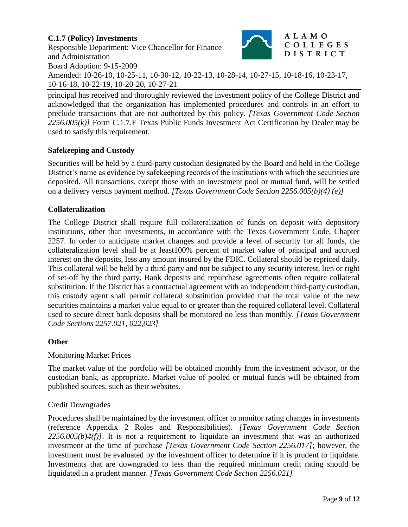principal has received and thoroughly reviewed the investment policy of the College District and acknowledged that the organization has implemented procedures and controls in an effort to preclude transactions that are not authorized by this policy. *[Texas Government Code Section 2256.005(k)]* Form C.1.7.F Texas Public Funds Investment Act Certification by Dealer may be used to satisfy this requirement.

# **Safekeeping and Custody**

Securities will be held by a third-party custodian designated by the Board and held in the College District's name as evidence by safekeeping records of the institutions with which the securities are deposited. All transactions, except those with an investment pool or mutual fund, will be settled on a delivery versus payment method. *[Texas Government Code Section 2256.005(b)(4) (e)]*

# **Collateralization**

The College District shall require full collateralization of funds on deposit with depository institutions, other than investments, in accordance with the Texas Government Code, Chapter 2257. In order to anticipate market changes and provide a level of security for all funds, the collateralization level shall be at least100% percent of market value of principal and accrued interest on the deposits, less any amount insured by the FDIC. Collateral should be repriced daily. This collateral will be held by a third party and not be subject to any security interest, lien or right of set-off by the third party. Bank deposits and repurchase agreements often require collateral substitution. If the District has a contractual agreement with an independent third-party custodian, this custody agent shall permit collateral substitution provided that the total value of the new securities maintains a market value equal to or greater than the required collateral level. Collateral used to secure direct bank deposits shall be monitored no less than monthly. *[Texas Government Code Sections 2257.021, 022,023]*

### **Other**

### Monitoring Market Prices

The market value of the portfolio will be obtained monthly from the investment advisor, or the custodian bank, as appropriate. Market value of pooled or mutual funds will be obtained from published sources, such as their websites.

### Credit Downgrades

Procedures shall be maintained by the investment officer to monitor rating changes in investments (reference Appendix 2 Roles and Responsibilities). *[Texas Government Code Section 2256.005(b)4(f)]*. It is not a requirement to liquidate an investment that was an authorized investment at the time of purchase *[Texas Government Code Section 2256.017]*; however, the investment must be evaluated by the investment officer to determine if it is prudent to liquidate. Investments that are downgraded to less than the required minimum credit rating should be liquidated in a prudent manner. *[Texas Government Code Section 2256.021]*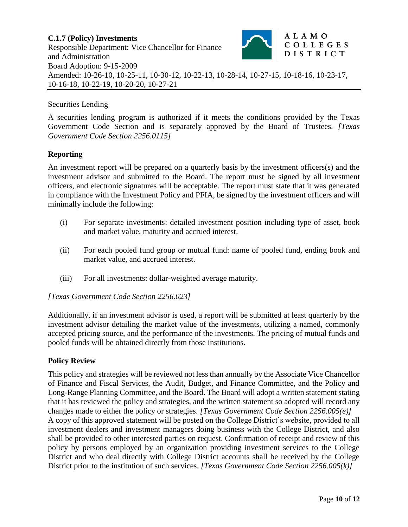## Securities Lending

A securities lending program is authorized if it meets the conditions provided by the Texas Government Code Section and is separately approved by the Board of Trustees. *[Texas Government Code Section 2256.0115]*

### **Reporting**

An investment report will be prepared on a quarterly basis by the investment officers(s) and the investment advisor and submitted to the Board. The report must be signed by all investment officers, and electronic signatures will be acceptable. The report must state that it was generated in compliance with the Investment Policy and PFIA, be signed by the investment officers and will minimally include the following:

- (i) For separate investments: detailed investment position including type of asset, book and market value, maturity and accrued interest.
- (ii) For each pooled fund group or mutual fund: name of pooled fund, ending book and market value, and accrued interest.
- (iii) For all investments: dollar-weighted average maturity.

### *[Texas Government Code Section 2256.023]*

Additionally, if an investment advisor is used, a report will be submitted at least quarterly by the investment advisor detailing the market value of the investments, utilizing a named, commonly accepted pricing source, and the performance of the investments. The pricing of mutual funds and pooled funds will be obtained directly from those institutions.

### **Policy Review**

This policy and strategies will be reviewed not less than annually by the Associate Vice Chancellor of Finance and Fiscal Services, the Audit, Budget, and Finance Committee, and the Policy and Long-Range Planning Committee, and the Board. The Board will adopt a written statement stating that it has reviewed the policy and strategies, and the written statement so adopted will record any changes made to either the policy or strategies. *[Texas Government Code Section 2256.005(e)]* A copy of this approved statement will be posted on the College District's website, provided to all investment dealers and investment managers doing business with the College District, and also shall be provided to other interested parties on request. Confirmation of receipt and review of this policy by persons employed by an organization providing investment services to the College District and who deal directly with College District accounts shall be received by the College District prior to the institution of such services. *[Texas Government Code Section 2256.005(k)]*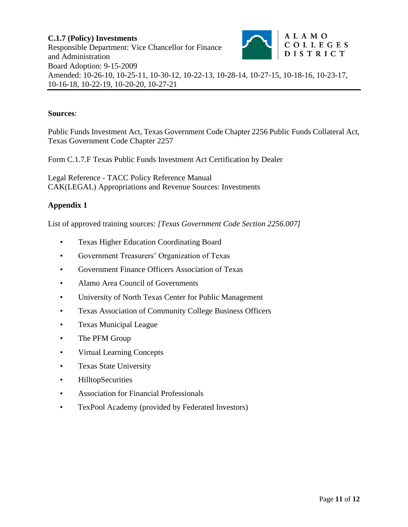### **Sources**:

Public Funds Investment Act, Texas Government Code Chapter 2256 Public Funds Collateral Act, Texas Government Code Chapter 2257

Form C.1.7.F Texas Public Funds Investment Act Certification by Dealer

Legal Reference - TACC Policy Reference Manual CAK(LEGAL) Appropriations and Revenue Sources: Investments

## **Appendix 1**

List of approved training sources: *[Texas Government Code Section 2256.007]*

- Texas Higher Education Coordinating Board
- Government Treasurers' Organization of Texas
- Government Finance Officers Association of Texas
- Alamo Area Council of Governments
- University of North Texas Center for Public Management
- Texas Association of Community College Business Officers
- Texas Municipal League
- The PFM Group
- Virtual Learning Concepts
- Texas State University
- HilltopSecurities
- Association for Financial Professionals
- TexPool Academy (provided by Federated Investors)